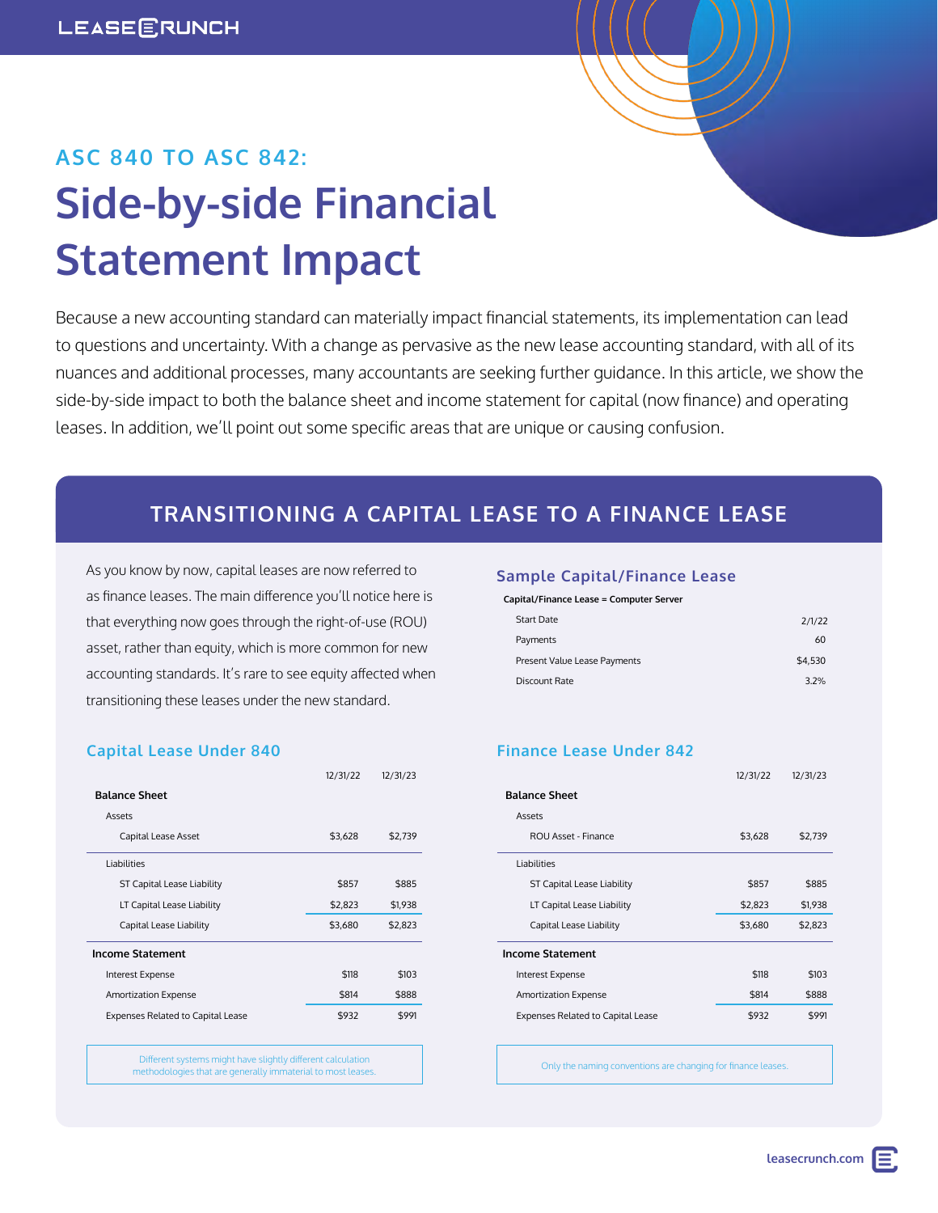# **ASC 840 TO ASC 842: Side-by-side Financial Statement Impact**

Because a new accounting standard can materially impact financial statements, its implementation can lead to questions and uncertainty. With a change as pervasive as the new lease accounting standard, with all of its nuances and additional processes, many accountants are seeking further guidance. In this article, we show the side-by-side impact to both the balance sheet and income statement for capital (now finance) and operating leases. In addition, we'll point out some specific areas that are unique or causing confusion.

### **TRANSITIONING A CAPITAL LEASE TO A FINANCE LEASE**

As you know by now, capital leases are now referred to as finance leases. The main difference you'll notice here is that everything now goes through the right-of-use (ROU) asset, rather than equity, which is more common for new accounting standards. It's rare to see equity affected when transitioning these leases under the new standard.

### **Capital Lease Under 840**

|                                          | 12/31/22 | 12/31/23 |
|------------------------------------------|----------|----------|
| <b>Balance Sheet</b>                     |          |          |
| Assets                                   |          |          |
| Capital Lease Asset                      | \$3,628  | \$2,739  |
| Liabilities                              |          |          |
| ST Capital Lease Liability               | \$857    | \$885    |
| LT Capital Lease Liability               | \$2,823  | \$1,938  |
| Capital Lease Liability                  | \$3,680  | \$2,823  |
| <b>Income Statement</b>                  |          |          |
| Interest Expense                         | \$118    | \$103    |
| <b>Amortization Expense</b>              | \$814    | \$888    |
| <b>Expenses Related to Capital Lease</b> | \$932    | \$991    |

Different systems might have slightly different calculation methodologies that are generally immaterial to most leases.

#### **Sample Capital/Finance Lease**

| Capital/Finance Lease = Computer Server |         |
|-----------------------------------------|---------|
| Start Date                              | 2/1/22  |
| Payments                                | 60      |
| Present Value Lease Payments            | \$4.530 |
| Discount Rate                           | 3.2%    |
|                                         |         |

### **Finance Lease Under 842**

|                                          | 12/31/22 | 12/31/23 |
|------------------------------------------|----------|----------|
| <b>Balance Sheet</b>                     |          |          |
| Assets                                   |          |          |
| ROU Asset - Finance                      | \$3,628  | \$2,739  |
| <b>Liabilities</b>                       |          |          |
| ST Capital Lease Liability               | \$857    | \$885    |
| LT Capital Lease Liability               | \$2,823  | \$1,938  |
| Capital Lease Liability                  | \$3,680  | \$2,823  |
| <b>Income Statement</b>                  |          |          |
| Interest Expense                         | \$118    | \$103    |
| <b>Amortization Expense</b>              | \$814    | \$888    |
| <b>Expenses Related to Capital Lease</b> | \$932    | \$991    |

Only the naming conventions are changing for finance leases.

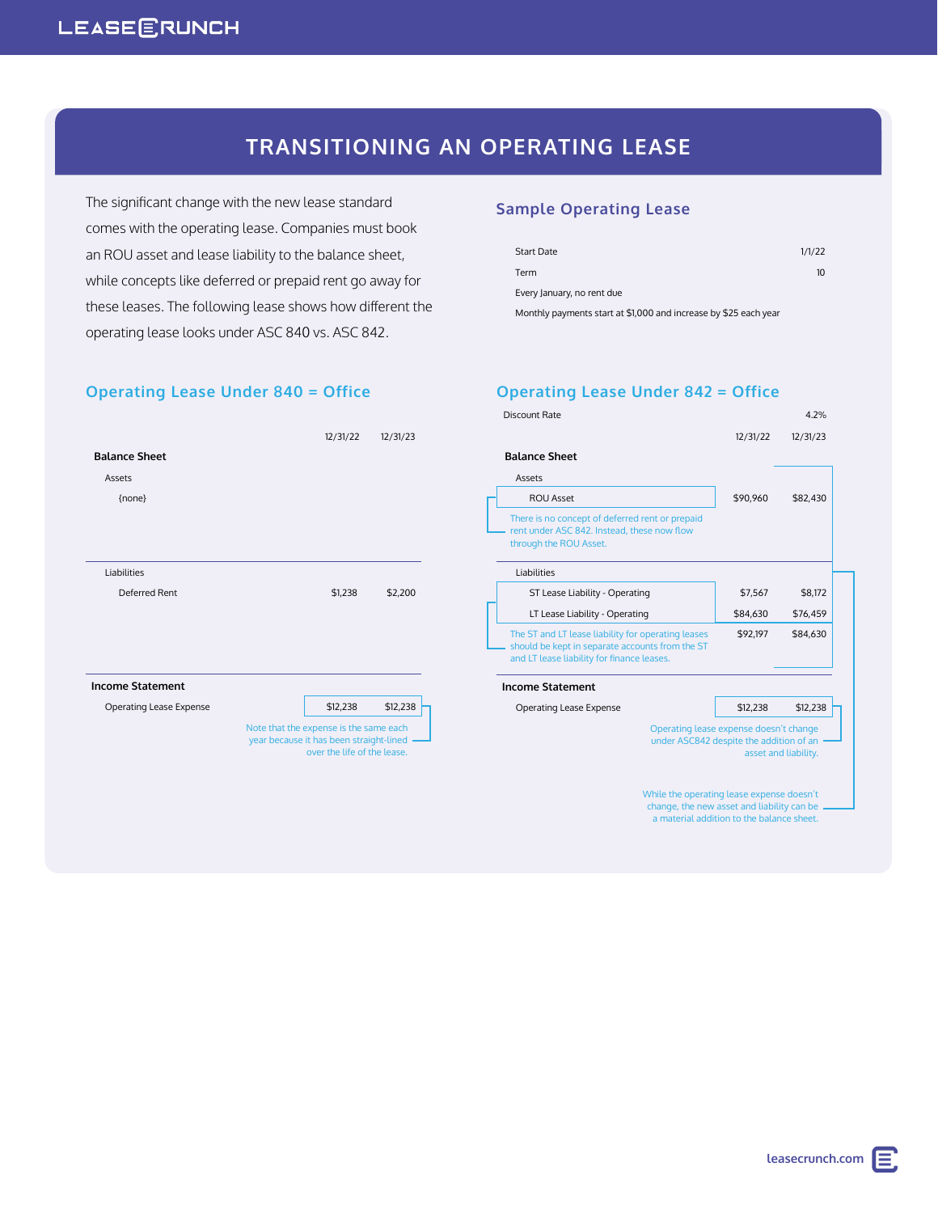## **LEASEERUNCH**

## **TRANSITIONING AN OPERATING LEASE**

**Operating Lease Under 842 = Office**

Monthly payments start at \$1,000 and increase by \$25 each year

Start Date 1/1/22 Term 10

**Sample Operating Lease**

Every January, no rent due

The significant change with the new lease standard comes with the operating lease. Companies must book an ROU asset and lease liability to the balance sheet, while concepts like deferred or prepaid rent go away for these leases. The following lease shows how different the operating lease looks under ASC 840 vs. ASC 842.

### **Operating Lease Under 840 = Office**

#### Discount Rate 4.2% 12/31/22 12/31/23  **Balance Sheet** Assets ROU Asset \$90,960 \$82,430 There is no concept of deferred rent or prepaid rent under ASC 842. Instead, these now flow through the ROU Asset. Liabilities ST Lease Liability - Operating **\$7,567** \$8,172 LT Lease Liability - Operating **\$84,630** \$76,459 The ST and LT lease liability for operating leases should be kept in separate accounts from the ST and LT lease liability for finance leases \$92,197 \$84,630 **Income Statement** Operating Lease Expense **\$12,238** \$12,238 Operating lease expense doesn't change under ASC842 despite the addition of an asset and liability. While the operating lease expense doesn't change, the new asset and liability can be a material addition to the balance sheet. 12/31/22 12/31/23  **Balance Sheet** Assets {none} Liabilities Deferred Rent  $$1,238$  \$2,200 **Income Statement** Operating Lease Expense **12.238** \$12,238 Note that the expense is the same each year because it has been straight-lined over the life of the lease.